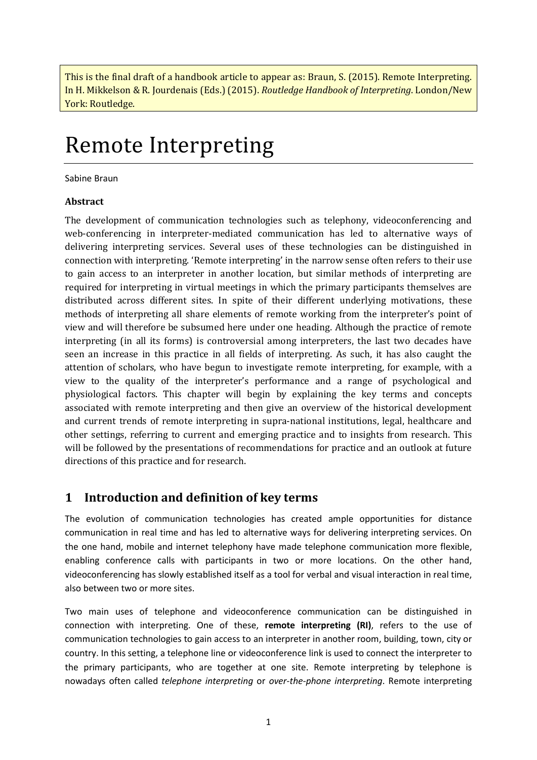This is the final draft of a handbook article to appear as: Braun, S. (2015). Remote Interpreting. In H. Mikkelson & R. Jourdenais (Eds.) (2015). *Routledge Handbook of Interpreting*. London/New York: Routledge.

# Remote Interpreting

Sabine Braun

#### **Abstract**

The development of communication technologies such as telephony, videoconferencing and web-conferencing in interpreter-mediated communication has led to alternative ways of delivering interpreting services. Several uses of these technologies can be distinguished in connection with interpreting. 'Remote interpreting' in the narrow sense often refers to their use to gain access to an interpreter in another location, but similar methods of interpreting are required for interpreting in virtual meetings in which the primary participants themselves are distributed across different sites. In spite of their different underlying motivations, these methods of interpreting all share elements of remote working from the interpreter's point of view and will therefore be subsumed here under one heading. Although the practice of remote interpreting (in all its forms) is controversial among interpreters, the last two decades have seen an increase in this practice in all fields of interpreting. As such, it has also caught the attention of scholars, who have begun to investigate remote interpreting, for example, with a view to the quality of the interpreter's performance and a range of psychological and physiological factors. This chapter will begin by explaining the key terms and concepts associated with remote interpreting and then give an overview of the historical development and current trends of remote interpreting in supra-national institutions, legal, healthcare and other settings, referring to current and emerging practice and to insights from research. This will be followed by the presentations of recommendations for practice and an outlook at future directions of this practice and for research.

### **1 Introduction and definition of key terms**

The evolution of communication technologies has created ample opportunities for distance communication in real time and has led to alternative ways for delivering interpreting services. On the one hand, mobile and internet telephony have made telephone communication more flexible, enabling conference calls with participants in two or more locations. On the other hand, videoconferencing has slowly established itself as a tool for verbal and visual interaction in real time, also between two or more sites.

Two main uses of telephone and videoconference communication can be distinguished in connection with interpreting. One of these, **remote interpreting (RI)**, refers to the use of communication technologies to gain access to an interpreter in another room, building, town, city or country. In this setting, a telephone line or videoconference link is used to connect the interpreter to the primary participants, who are together at one site. Remote interpreting by telephone is nowadays often called *telephone interpreting* or *over-the-phone interpreting*. Remote interpreting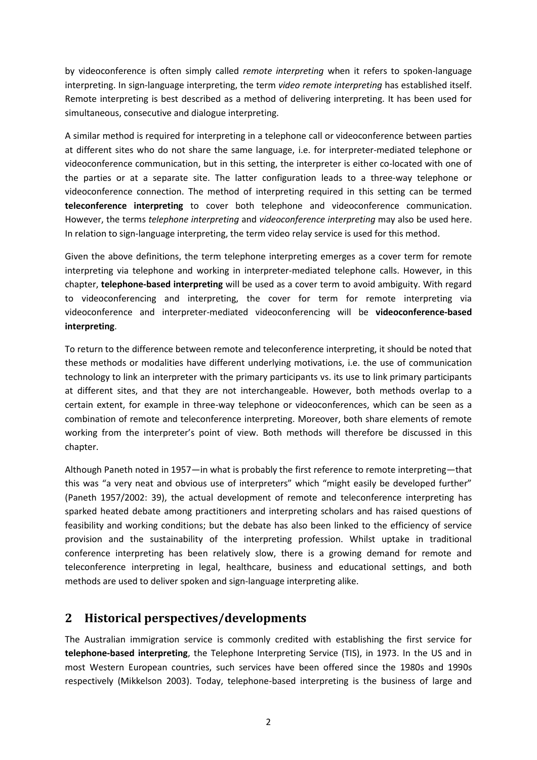by videoconference is often simply called *remote interpreting* when it refers to spoken-language interpreting. In sign-language interpreting, the term *video remote interpreting* has established itself. Remote interpreting is best described as a method of delivering interpreting. It has been used for simultaneous, consecutive and dialogue interpreting.

A similar method is required for interpreting in a telephone call or videoconference between parties at different sites who do not share the same language, i.e. for interpreter-mediated telephone or videoconference communication, but in this setting, the interpreter is either co-located with one of the parties or at a separate site. The latter configuration leads to a three-way telephone or videoconference connection. The method of interpreting required in this setting can be termed **teleconference interpreting** to cover both telephone and videoconference communication. However, the terms *telephone interpreting* and *videoconference interpreting* may also be used here. In relation to sign-language interpreting, the term video relay service is used for this method.

Given the above definitions, the term telephone interpreting emerges as a cover term for remote interpreting via telephone and working in interpreter-mediated telephone calls. However, in this chapter, **telephone-based interpreting** will be used as a cover term to avoid ambiguity. With regard to videoconferencing and interpreting, the cover for term for remote interpreting via videoconference and interpreter-mediated videoconferencing will be **videoconference-based interpreting**.

To return to the difference between remote and teleconference interpreting, it should be noted that these methods or modalities have different underlying motivations, i.e. the use of communication technology to link an interpreter with the primary participants vs. its use to link primary participants at different sites, and that they are not interchangeable. However, both methods overlap to a certain extent, for example in three-way telephone or videoconferences, which can be seen as a combination of remote and teleconference interpreting. Moreover, both share elements of remote working from the interpreter's point of view. Both methods will therefore be discussed in this chapter.

Although Paneth noted in 1957—in what is probably the first reference to remote interpreting—that this was "a very neat and obvious use of interpreters" which "might easily be developed further" (Paneth 1957/2002: 39), the actual development of remote and teleconference interpreting has sparked heated debate among practitioners and interpreting scholars and has raised questions of feasibility and working conditions; but the debate has also been linked to the efficiency of service provision and the sustainability of the interpreting profession. Whilst uptake in traditional conference interpreting has been relatively slow, there is a growing demand for remote and teleconference interpreting in legal, healthcare, business and educational settings, and both methods are used to deliver spoken and sign-language interpreting alike.

## **2 Historical perspectives/developments**

The Australian immigration service is commonly credited with establishing the first service for **telephone-based interpreting**, the Telephone Interpreting Service (TIS), in 1973. In the US and in most Western European countries, such services have been offered since the 1980s and 1990s respectively (Mikkelson 2003). Today, telephone-based interpreting is the business of large and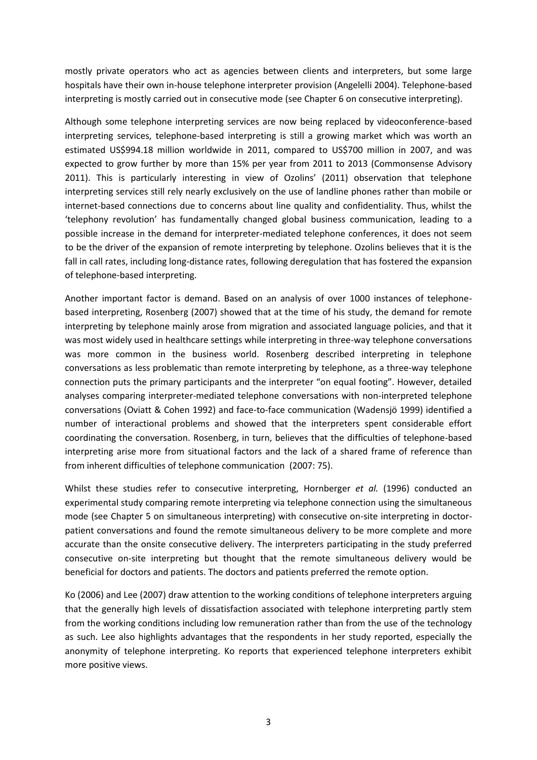mostly private operators who act as agencies between clients and interpreters, but some large hospitals have their own in-house telephone interpreter provision (Angelelli 2004). Telephone-based interpreting is mostly carried out in consecutive mode (see Chapter 6 on consecutive interpreting).

Although some telephone interpreting services are now being replaced by videoconference-based interpreting services, telephone-based interpreting is still a growing market which was worth an estimated US\$994.18 million worldwide in 2011, compared to US\$700 million in 2007, and was expected to grow further by more than 15% per year from 2011 to 2013 (Commonsense Advisory 2011). This is particularly interesting in view of Ozolins' (2011) observation that telephone interpreting services still rely nearly exclusively on the use of landline phones rather than mobile or internet-based connections due to concerns about line quality and confidentiality. Thus, whilst the 'telephony revolution' has fundamentally changed global business communication, leading to a possible increase in the demand for interpreter-mediated telephone conferences, it does not seem to be the driver of the expansion of remote interpreting by telephone. Ozolins believes that it is the fall in call rates, including long-distance rates, following deregulation that has fostered the expansion of telephone-based interpreting.

Another important factor is demand. Based on an analysis of over 1000 instances of telephonebased interpreting, Rosenberg (2007) showed that at the time of his study, the demand for remote interpreting by telephone mainly arose from migration and associated language policies, and that it was most widely used in healthcare settings while interpreting in three-way telephone conversations was more common in the business world. Rosenberg described interpreting in telephone conversations as less problematic than remote interpreting by telephone, as a three-way telephone connection puts the primary participants and the interpreter "on equal footing". However, detailed analyses comparing interpreter-mediated telephone conversations with non-interpreted telephone conversations (Oviatt & Cohen 1992) and face-to-face communication (Wadensjö 1999) identified a number of interactional problems and showed that the interpreters spent considerable effort coordinating the conversation. Rosenberg, in turn, believes that the difficulties of telephone-based interpreting arise more from situational factors and the lack of a shared frame of reference than from inherent difficulties of telephone communication (2007: 75).

Whilst these studies refer to consecutive interpreting, Hornberger *et al.* (1996) conducted an experimental study comparing remote interpreting via telephone connection using the simultaneous mode (see Chapter 5 on simultaneous interpreting) with consecutive on-site interpreting in doctorpatient conversations and found the remote simultaneous delivery to be more complete and more accurate than the onsite consecutive delivery. The interpreters participating in the study preferred consecutive on-site interpreting but thought that the remote simultaneous delivery would be beneficial for doctors and patients. The doctors and patients preferred the remote option.

Ko (2006) and Lee (2007) draw attention to the working conditions of telephone interpreters arguing that the generally high levels of dissatisfaction associated with telephone interpreting partly stem from the working conditions including low remuneration rather than from the use of the technology as such. Lee also highlights advantages that the respondents in her study reported, especially the anonymity of telephone interpreting. Ko reports that experienced telephone interpreters exhibit more positive views.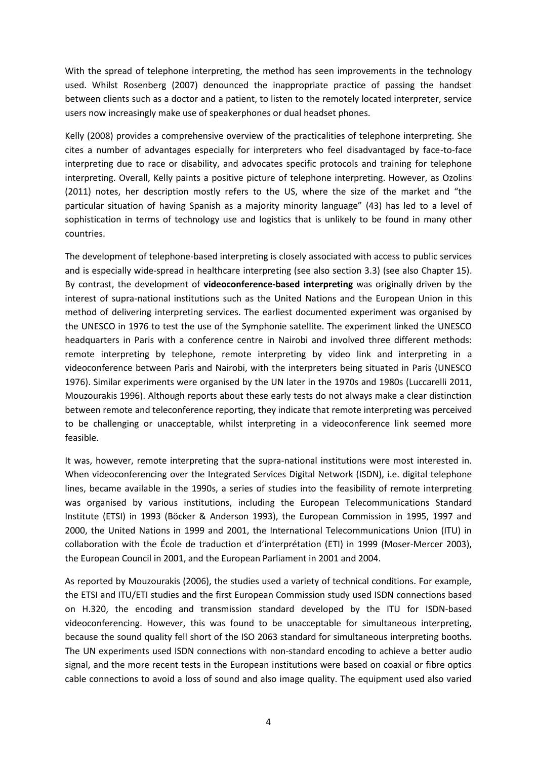With the spread of telephone interpreting, the method has seen improvements in the technology used. Whilst Rosenberg (2007) denounced the inappropriate practice of passing the handset between clients such as a doctor and a patient, to listen to the remotely located interpreter, service users now increasingly make use of speakerphones or dual headset phones.

Kelly (2008) provides a comprehensive overview of the practicalities of telephone interpreting. She cites a number of advantages especially for interpreters who feel disadvantaged by face-to-face interpreting due to race or disability, and advocates specific protocols and training for telephone interpreting. Overall, Kelly paints a positive picture of telephone interpreting. However, as Ozolins (2011) notes, her description mostly refers to the US, where the size of the market and "the particular situation of having Spanish as a majority minority language" (43) has led to a level of sophistication in terms of technology use and logistics that is unlikely to be found in many other countries.

The development of telephone-based interpreting is closely associated with access to public services and is especially wide-spread in healthcare interpreting (see also section 3.3) (see also Chapter 15). By contrast, the development of **videoconference-based interpreting** was originally driven by the interest of supra-national institutions such as the United Nations and the European Union in this method of delivering interpreting services. The earliest documented experiment was organised by the UNESCO in 1976 to test the use of the Symphonie satellite. The experiment linked the UNESCO headquarters in Paris with a conference centre in Nairobi and involved three different methods: remote interpreting by telephone, remote interpreting by video link and interpreting in a videoconference between Paris and Nairobi, with the interpreters being situated in Paris (UNESCO 1976). Similar experiments were organised by the UN later in the 1970s and 1980s (Luccarelli 2011, Mouzourakis 1996). Although reports about these early tests do not always make a clear distinction between remote and teleconference reporting, they indicate that remote interpreting was perceived to be challenging or unacceptable, whilst interpreting in a videoconference link seemed more feasible.

It was, however, remote interpreting that the supra-national institutions were most interested in. When videoconferencing over the Integrated Services Digital Network (ISDN), i.e. digital telephone lines, became available in the 1990s, a series of studies into the feasibility of remote interpreting was organised by various institutions, including the European Telecommunications Standard Institute (ETSI) in 1993 (Böcker & Anderson 1993), the European Commission in 1995, 1997 and 2000, the United Nations in 1999 and 2001, the International Telecommunications Union (ITU) in collaboration with the École de traduction et d'interprétation (ETI) in 1999 (Moser-Mercer 2003), the European Council in 2001, and the European Parliament in 2001 and 2004.

As reported by Mouzourakis (2006), the studies used a variety of technical conditions. For example, the ETSI and ITU/ETI studies and the first European Commission study used ISDN connections based on H.320, the encoding and transmission standard developed by the ITU for ISDN-based videoconferencing. However, this was found to be unacceptable for simultaneous interpreting, because the sound quality fell short of the ISO 2063 standard for simultaneous interpreting booths. The UN experiments used ISDN connections with non-standard encoding to achieve a better audio signal, and the more recent tests in the European institutions were based on coaxial or fibre optics cable connections to avoid a loss of sound and also image quality. The equipment used also varied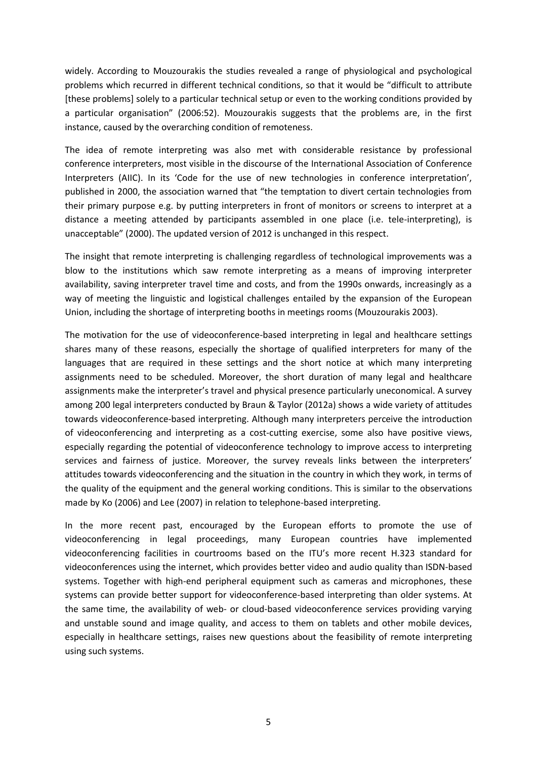widely. According to Mouzourakis the studies revealed a range of physiological and psychological problems which recurred in different technical conditions, so that it would be "difficult to attribute [these problems] solely to a particular technical setup or even to the working conditions provided by a particular organisation" (2006:52). Mouzourakis suggests that the problems are, in the first instance, caused by the overarching condition of remoteness.

The idea of remote interpreting was also met with considerable resistance by professional conference interpreters, most visible in the discourse of the International Association of Conference Interpreters (AIIC). In its 'Code for the use of new technologies in conference interpretation', published in 2000, the association warned that "the temptation to divert certain technologies from their primary purpose e.g. by putting interpreters in front of monitors or screens to interpret at a distance a meeting attended by participants assembled in one place (i.e. tele-interpreting), is unacceptable" (2000). The updated version of 2012 is unchanged in this respect.

The insight that remote interpreting is challenging regardless of technological improvements was a blow to the institutions which saw remote interpreting as a means of improving interpreter availability, saving interpreter travel time and costs, and from the 1990s onwards, increasingly as a way of meeting the linguistic and logistical challenges entailed by the expansion of the European Union, including the shortage of interpreting booths in meetings rooms (Mouzourakis 2003).

The motivation for the use of videoconference-based interpreting in legal and healthcare settings shares many of these reasons, especially the shortage of qualified interpreters for many of the languages that are required in these settings and the short notice at which many interpreting assignments need to be scheduled. Moreover, the short duration of many legal and healthcare assignments make the interpreter's travel and physical presence particularly uneconomical. A survey among 200 legal interpreters conducted by Braun & Taylor (2012a) shows a wide variety of attitudes towards videoconference-based interpreting. Although many interpreters perceive the introduction of videoconferencing and interpreting as a cost-cutting exercise, some also have positive views, especially regarding the potential of videoconference technology to improve access to interpreting services and fairness of justice. Moreover, the survey reveals links between the interpreters' attitudes towards videoconferencing and the situation in the country in which they work, in terms of the quality of the equipment and the general working conditions. This is similar to the observations made by Ko (2006) and Lee (2007) in relation to telephone-based interpreting.

In the more recent past, encouraged by the European efforts to promote the use of videoconferencing in legal proceedings, many European countries have implemented videoconferencing facilities in courtrooms based on the ITU's more recent H.323 standard for videoconferences using the internet, which provides better video and audio quality than ISDN-based systems. Together with high-end peripheral equipment such as cameras and microphones, these systems can provide better support for videoconference-based interpreting than older systems. At the same time, the availability of web- or cloud-based videoconference services providing varying and unstable sound and image quality, and access to them on tablets and other mobile devices, especially in healthcare settings, raises new questions about the feasibility of remote interpreting using such systems.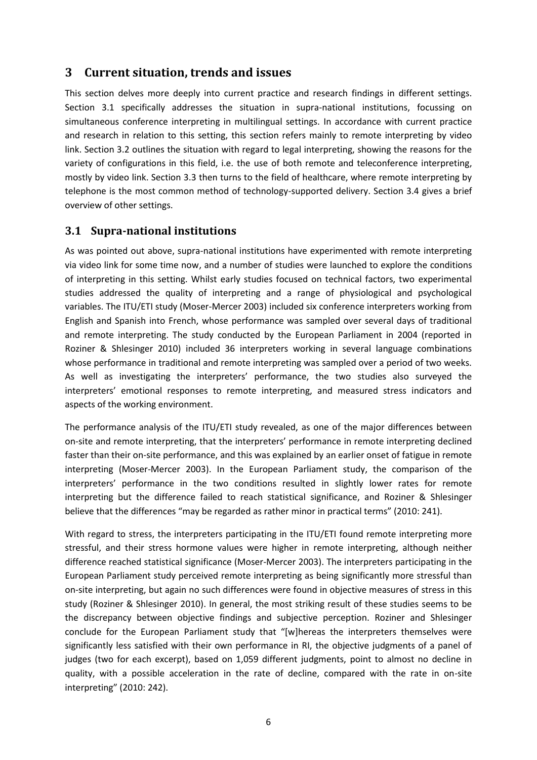## **3 Current situation, trends and issues**

This section delves more deeply into current practice and research findings in different settings. Section 3.1 specifically addresses the situation in supra-national institutions, focussing on simultaneous conference interpreting in multilingual settings. In accordance with current practice and research in relation to this setting, this section refers mainly to remote interpreting by video link. Section 3.2 outlines the situation with regard to legal interpreting, showing the reasons for the variety of configurations in this field, i.e. the use of both remote and teleconference interpreting, mostly by video link. Section 3.3 then turns to the field of healthcare, where remote interpreting by telephone is the most common method of technology-supported delivery. Section 3.4 gives a brief overview of other settings.

#### **3.1 Supra-national institutions**

As was pointed out above, supra-national institutions have experimented with remote interpreting via video link for some time now, and a number of studies were launched to explore the conditions of interpreting in this setting. Whilst early studies focused on technical factors, two experimental studies addressed the quality of interpreting and a range of physiological and psychological variables. The ITU/ETI study (Moser-Mercer 2003) included six conference interpreters working from English and Spanish into French, whose performance was sampled over several days of traditional and remote interpreting. The study conducted by the European Parliament in 2004 (reported in Roziner & Shlesinger 2010) included 36 interpreters working in several language combinations whose performance in traditional and remote interpreting was sampled over a period of two weeks. As well as investigating the interpreters' performance, the two studies also surveyed the interpreters' emotional responses to remote interpreting, and measured stress indicators and aspects of the working environment.

The performance analysis of the ITU/ETI study revealed, as one of the major differences between on-site and remote interpreting, that the interpreters' performance in remote interpreting declined faster than their on-site performance, and this was explained by an earlier onset of fatigue in remote interpreting (Moser-Mercer 2003). In the European Parliament study, the comparison of the interpreters' performance in the two conditions resulted in slightly lower rates for remote interpreting but the difference failed to reach statistical significance, and Roziner & Shlesinger believe that the differences "may be regarded as rather minor in practical terms" (2010: 241).

With regard to stress, the interpreters participating in the ITU/ETI found remote interpreting more stressful, and their stress hormone values were higher in remote interpreting, although neither difference reached statistical significance (Moser-Mercer 2003). The interpreters participating in the European Parliament study perceived remote interpreting as being significantly more stressful than on-site interpreting, but again no such differences were found in objective measures of stress in this study (Roziner & Shlesinger 2010). In general, the most striking result of these studies seems to be the discrepancy between objective findings and subjective perception. Roziner and Shlesinger conclude for the European Parliament study that "[w]hereas the interpreters themselves were significantly less satisfied with their own performance in RI, the objective judgments of a panel of judges (two for each excerpt), based on 1,059 different judgments, point to almost no decline in quality, with a possible acceleration in the rate of decline, compared with the rate in on-site interpreting" (2010: 242).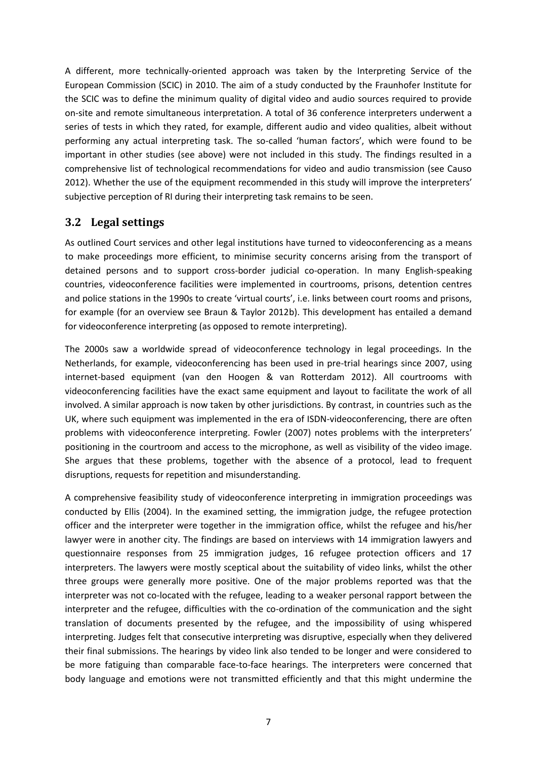A different, more technically-oriented approach was taken by the Interpreting Service of the European Commission (SCIC) in 2010. The aim of a study conducted by the Fraunhofer Institute for the SCIC was to define the minimum quality of digital video and audio sources required to provide on-site and remote simultaneous interpretation. A total of 36 conference interpreters underwent a series of tests in which they rated, for example, different audio and video qualities, albeit without performing any actual interpreting task. The so-called 'human factors', which were found to be important in other studies (see above) were not included in this study. The findings resulted in a comprehensive list of technological recommendations for video and audio transmission (see Causo 2012). Whether the use of the equipment recommended in this study will improve the interpreters' subjective perception of RI during their interpreting task remains to be seen.

### **3.2 Legal settings**

As outlined Court services and other legal institutions have turned to videoconferencing as a means to make proceedings more efficient, to minimise security concerns arising from the transport of detained persons and to support cross-border judicial co-operation. In many English-speaking countries, videoconference facilities were implemented in courtrooms, prisons, detention centres and police stations in the 1990s to create 'virtual courts', i.e. links between court rooms and prisons, for example (for an overview see Braun & Taylor 2012b). This development has entailed a demand for videoconference interpreting (as opposed to remote interpreting).

The 2000s saw a worldwide spread of videoconference technology in legal proceedings. In the Netherlands, for example, videoconferencing has been used in pre-trial hearings since 2007, using internet-based equipment (van den Hoogen & van Rotterdam 2012). All courtrooms with videoconferencing facilities have the exact same equipment and layout to facilitate the work of all involved. A similar approach is now taken by other jurisdictions. By contrast, in countries such as the UK, where such equipment was implemented in the era of ISDN-videoconferencing, there are often problems with videoconference interpreting. Fowler (2007) notes problems with the interpreters' positioning in the courtroom and access to the microphone, as well as visibility of the video image. She argues that these problems, together with the absence of a protocol, lead to frequent disruptions, requests for repetition and misunderstanding.

A comprehensive feasibility study of videoconference interpreting in immigration proceedings was conducted by Ellis (2004). In the examined setting, the immigration judge, the refugee protection officer and the interpreter were together in the immigration office, whilst the refugee and his/her lawyer were in another city. The findings are based on interviews with 14 immigration lawyers and questionnaire responses from 25 immigration judges, 16 refugee protection officers and 17 interpreters. The lawyers were mostly sceptical about the suitability of video links, whilst the other three groups were generally more positive. One of the major problems reported was that the interpreter was not co-located with the refugee, leading to a weaker personal rapport between the interpreter and the refugee, difficulties with the co-ordination of the communication and the sight translation of documents presented by the refugee, and the impossibility of using whispered interpreting. Judges felt that consecutive interpreting was disruptive, especially when they delivered their final submissions. The hearings by video link also tended to be longer and were considered to be more fatiguing than comparable face-to-face hearings. The interpreters were concerned that body language and emotions were not transmitted efficiently and that this might undermine the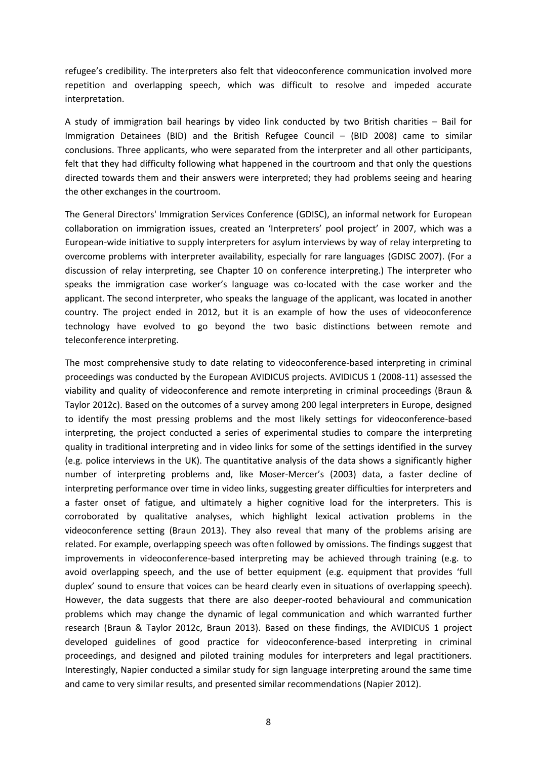refugee's credibility. The interpreters also felt that videoconference communication involved more repetition and overlapping speech, which was difficult to resolve and impeded accurate interpretation.

A study of immigration bail hearings by video link conducted by two British charities – Bail for Immigration Detainees (BID) and the British Refugee Council – (BID 2008) came to similar conclusions. Three applicants, who were separated from the interpreter and all other participants, felt that they had difficulty following what happened in the courtroom and that only the questions directed towards them and their answers were interpreted; they had problems seeing and hearing the other exchanges in the courtroom.

The General Directors' Immigration Services Conference (GDISC), an informal network for European collaboration on immigration issues, created an 'Interpreters' pool project' in 2007, which was a European-wide initiative to supply interpreters for asylum interviews by way of relay interpreting to overcome problems with interpreter availability, especially for rare languages (GDISC 2007). (For a discussion of relay interpreting, see Chapter 10 on conference interpreting.) The interpreter who speaks the immigration case worker's language was co-located with the case worker and the applicant. The second interpreter, who speaks the language of the applicant, was located in another country. The project ended in 2012, but it is an example of how the uses of videoconference technology have evolved to go beyond the two basic distinctions between remote and teleconference interpreting.

The most comprehensive study to date relating to videoconference-based interpreting in criminal proceedings was conducted by the European AVIDICUS projects. AVIDICUS 1 (2008-11) assessed the viability and quality of videoconference and remote interpreting in criminal proceedings (Braun & Taylor 2012c). Based on the outcomes of a survey among 200 legal interpreters in Europe, designed to identify the most pressing problems and the most likely settings for videoconference-based interpreting, the project conducted a series of experimental studies to compare the interpreting quality in traditional interpreting and in video links for some of the settings identified in the survey (e.g. police interviews in the UK). The quantitative analysis of the data shows a significantly higher number of interpreting problems and, like Moser-Mercer's (2003) data, a faster decline of interpreting performance over time in video links, suggesting greater difficulties for interpreters and a faster onset of fatigue, and ultimately a higher cognitive load for the interpreters. This is corroborated by qualitative analyses, which highlight lexical activation problems in the videoconference setting (Braun 2013). They also reveal that many of the problems arising are related. For example, overlapping speech was often followed by omissions. The findings suggest that improvements in videoconference-based interpreting may be achieved through training (e.g. to avoid overlapping speech, and the use of better equipment (e.g. equipment that provides 'full duplex' sound to ensure that voices can be heard clearly even in situations of overlapping speech). However, the data suggests that there are also deeper-rooted behavioural and communication problems which may change the dynamic of legal communication and which warranted further research (Braun & Taylor 2012c, Braun 2013). Based on these findings, the AVIDICUS 1 project developed guidelines of good practice for videoconference-based interpreting in criminal proceedings, and designed and piloted training modules for interpreters and legal practitioners. Interestingly, Napier conducted a similar study for sign language interpreting around the same time and came to very similar results, and presented similar recommendations (Napier 2012).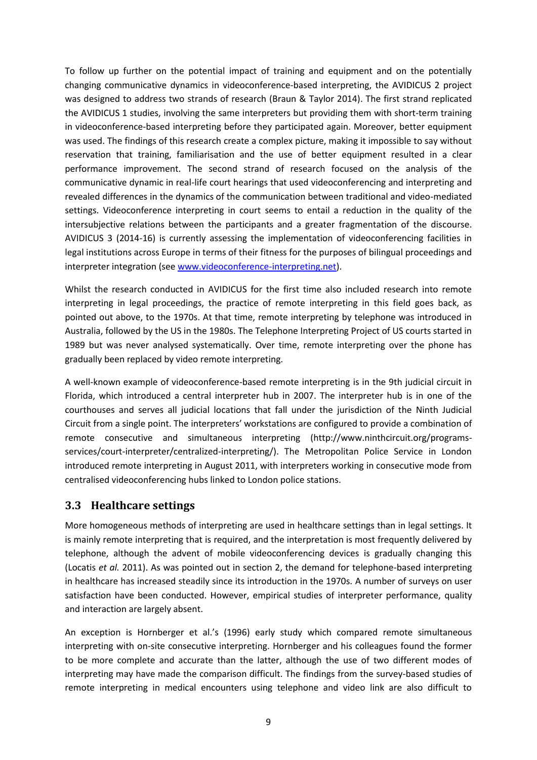To follow up further on the potential impact of training and equipment and on the potentially changing communicative dynamics in videoconference-based interpreting, the AVIDICUS 2 project was designed to address two strands of research (Braun & Taylor 2014). The first strand replicated the AVIDICUS 1 studies, involving the same interpreters but providing them with short-term training in videoconference-based interpreting before they participated again. Moreover, better equipment was used. The findings of this research create a complex picture, making it impossible to say without reservation that training, familiarisation and the use of better equipment resulted in a clear performance improvement. The second strand of research focused on the analysis of the communicative dynamic in real-life court hearings that used videoconferencing and interpreting and revealed differences in the dynamics of the communication between traditional and video-mediated settings. Videoconference interpreting in court seems to entail a reduction in the quality of the intersubjective relations between the participants and a greater fragmentation of the discourse. AVIDICUS 3 (2014-16) is currently assessing the implementation of videoconferencing facilities in legal institutions across Europe in terms of their fitness for the purposes of bilingual proceedings and interpreter integration (see [www.videoconference-interpreting.net\)](http://www.videoconference-interpreting.net/).

Whilst the research conducted in AVIDICUS for the first time also included research into remote interpreting in legal proceedings, the practice of remote interpreting in this field goes back, as pointed out above, to the 1970s. At that time, remote interpreting by telephone was introduced in Australia, followed by the US in the 1980s. The Telephone Interpreting Project of US courts started in 1989 but was never analysed systematically. Over time, remote interpreting over the phone has gradually been replaced by video remote interpreting.

A well-known example of videoconference-based remote interpreting is in the 9th judicial circuit in Florida, which introduced a central interpreter hub in 2007. The interpreter hub is in one of the courthouses and serves all judicial locations that fall under the jurisdiction of the Ninth Judicial Circuit from a single point. The interpreters' workstations are configured to provide a combination of remote consecutive and simultaneous interpreting (http://www.ninthcircuit.org/programsservices/court-interpreter/centralized-interpreting/). The Metropolitan Police Service in London introduced remote interpreting in August 2011, with interpreters working in consecutive mode from centralised videoconferencing hubs linked to London police stations.

### **3.3 Healthcare settings**

More homogeneous methods of interpreting are used in healthcare settings than in legal settings. It is mainly remote interpreting that is required, and the interpretation is most frequently delivered by telephone, although the advent of mobile videoconferencing devices is gradually changing this (Locatis *et al.* 2011). As was pointed out in section 2, the demand for telephone-based interpreting in healthcare has increased steadily since its introduction in the 1970s. A number of surveys on user satisfaction have been conducted. However, empirical studies of interpreter performance, quality and interaction are largely absent.

An exception is Hornberger et al.'s (1996) early study which compared remote simultaneous interpreting with on-site consecutive interpreting. Hornberger and his colleagues found the former to be more complete and accurate than the latter, although the use of two different modes of interpreting may have made the comparison difficult. The findings from the survey-based studies of remote interpreting in medical encounters using telephone and video link are also difficult to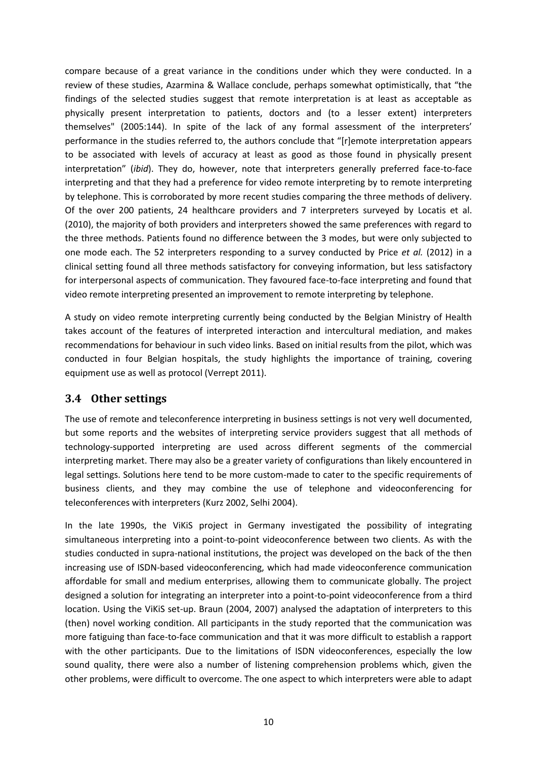compare because of a great variance in the conditions under which they were conducted. In a review of these studies, Azarmina & Wallace conclude, perhaps somewhat optimistically, that "the findings of the selected studies suggest that remote interpretation is at least as acceptable as physically present interpretation to patients, doctors and (to a lesser extent) interpreters themselves" (2005:144). In spite of the lack of any formal assessment of the interpreters' performance in the studies referred to, the authors conclude that "[r]emote interpretation appears to be associated with levels of accuracy at least as good as those found in physically present interpretation" (*ibid*). They do, however, note that interpreters generally preferred face-to-face interpreting and that they had a preference for video remote interpreting by to remote interpreting by telephone. This is corroborated by more recent studies comparing the three methods of delivery. Of the over 200 patients, 24 healthcare providers and 7 interpreters surveyed by Locatis et al. (2010), the majority of both providers and interpreters showed the same preferences with regard to the three methods. Patients found no difference between the 3 modes, but were only subjected to one mode each. The 52 interpreters responding to a survey conducted by Price *et al.* (2012) in a clinical setting found all three methods satisfactory for conveying information, but less satisfactory for interpersonal aspects of communication. They favoured face-to-face interpreting and found that video remote interpreting presented an improvement to remote interpreting by telephone.

A study on video remote interpreting currently being conducted by the Belgian Ministry of Health takes account of the features of interpreted interaction and intercultural mediation, and makes recommendations for behaviour in such video links. Based on initial results from the pilot, which was conducted in four Belgian hospitals, the study highlights the importance of training, covering equipment use as well as protocol (Verrept 2011).

### **3.4 Other settings**

The use of remote and teleconference interpreting in business settings is not very well documented, but some reports and the websites of interpreting service providers suggest that all methods of technology-supported interpreting are used across different segments of the commercial interpreting market. There may also be a greater variety of configurations than likely encountered in legal settings. Solutions here tend to be more custom-made to cater to the specific requirements of business clients, and they may combine the use of telephone and videoconferencing for teleconferences with interpreters (Kurz 2002, Selhi 2004).

In the late 1990s, the ViKiS project in Germany investigated the possibility of integrating simultaneous interpreting into a point-to-point videoconference between two clients. As with the studies conducted in supra-national institutions, the project was developed on the back of the then increasing use of ISDN-based videoconferencing, which had made videoconference communication affordable for small and medium enterprises, allowing them to communicate globally. The project designed a solution for integrating an interpreter into a point-to-point videoconference from a third location. Using the ViKiS set-up. Braun (2004, 2007) analysed the adaptation of interpreters to this (then) novel working condition. All participants in the study reported that the communication was more fatiguing than face-to-face communication and that it was more difficult to establish a rapport with the other participants. Due to the limitations of ISDN videoconferences, especially the low sound quality, there were also a number of listening comprehension problems which, given the other problems, were difficult to overcome. The one aspect to which interpreters were able to adapt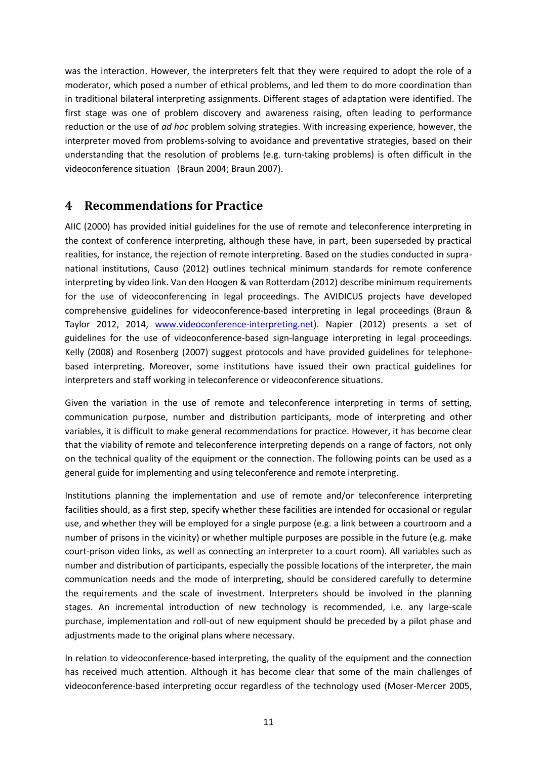was the interaction. However, the interpreters felt that they were required to adopt the role of a moderator, which posed a number of ethical problems, and led them to do more coordination than in traditional bilateral interpreting assignments. Different stages of adaptation were identified. The first stage was one of problem discovery and awareness raising, often leading to performance reduction or the use of *ad hoc* problem solving strategies. With increasing experience, however, the interpreter moved from problems-solving to avoidance and preventative strategies, based on their understanding that the resolution of problems (e.g. turn-taking problems) is often difficult in the videoconference situation (Braun 2004; Braun 2007).

## **4 Recommendations for Practice**

AIIC (2000) has provided initial guidelines for the use of remote and teleconference interpreting in the context of conference interpreting, although these have, in part, been superseded by practical realities, for instance, the rejection of remote interpreting. Based on the studies conducted in supranational institutions, Causo (2012) outlines technical minimum standards for remote conference interpreting by video link. Van den Hoogen & van Rotterdam (2012) describe minimum requirements for the use of videoconferencing in legal proceedings. The AVIDICUS projects have developed comprehensive guidelines for videoconference-based interpreting in legal proceedings (Braun & Taylor 2012, 2014, [www.videoconference-interpreting.net\)](http://www.videoconference-interpreting.net/). Napier (2012) presents a set of guidelines for the use of videoconference-based sign-language interpreting in legal proceedings. Kelly (2008) and Rosenberg (2007) suggest protocols and have provided guidelines for telephonebased interpreting. Moreover, some institutions have issued their own practical guidelines for interpreters and staff working in teleconference or videoconference situations.

Given the variation in the use of remote and teleconference interpreting in terms of setting, communication purpose, number and distribution participants, mode of interpreting and other variables, it is difficult to make general recommendations for practice. However, it has become clear that the viability of remote and teleconference interpreting depends on a range of factors, not only on the technical quality of the equipment or the connection. The following points can be used as a general guide for implementing and using teleconference and remote interpreting.

Institutions planning the implementation and use of remote and/or teleconference interpreting facilities should, as a first step, specify whether these facilities are intended for occasional or regular use, and whether they will be employed for a single purpose (e.g. a link between a courtroom and a number of prisons in the vicinity) or whether multiple purposes are possible in the future (e.g. make court-prison video links, as well as connecting an interpreter to a court room). All variables such as number and distribution of participants, especially the possible locations of the interpreter, the main communication needs and the mode of interpreting, should be considered carefully to determine the requirements and the scale of investment. Interpreters should be involved in the planning stages. An incremental introduction of new technology is recommended, i.e. any large-scale purchase, implementation and roll-out of new equipment should be preceded by a pilot phase and adjustments made to the original plans where necessary.

In relation to videoconference-based interpreting, the quality of the equipment and the connection has received much attention. Although it has become clear that some of the main challenges of videoconference-based interpreting occur regardless of the technology used (Moser-Mercer 2005,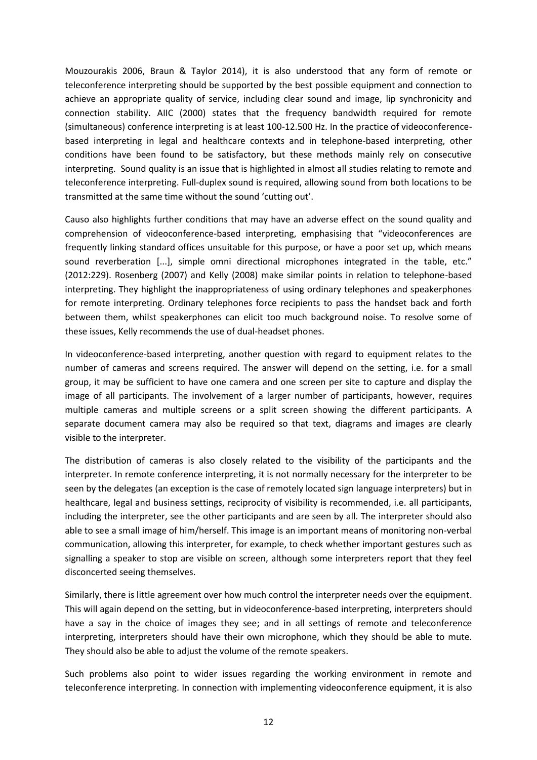Mouzourakis 2006, Braun & Taylor 2014), it is also understood that any form of remote or teleconference interpreting should be supported by the best possible equipment and connection to achieve an appropriate quality of service, including clear sound and image, lip synchronicity and connection stability. AIIC (2000) states that the frequency bandwidth required for remote (simultaneous) conference interpreting is at least 100-12.500 Hz. In the practice of videoconferencebased interpreting in legal and healthcare contexts and in telephone-based interpreting, other conditions have been found to be satisfactory, but these methods mainly rely on consecutive interpreting. Sound quality is an issue that is highlighted in almost all studies relating to remote and teleconference interpreting. Full-duplex sound is required, allowing sound from both locations to be transmitted at the same time without the sound 'cutting out'.

Causo also highlights further conditions that may have an adverse effect on the sound quality and comprehension of videoconference-based interpreting, emphasising that "videoconferences are frequently linking standard offices unsuitable for this purpose, or have a poor set up, which means sound reverberation [...], simple omni directional microphones integrated in the table, etc." (2012:229). Rosenberg (2007) and Kelly (2008) make similar points in relation to telephone-based interpreting. They highlight the inappropriateness of using ordinary telephones and speakerphones for remote interpreting. Ordinary telephones force recipients to pass the handset back and forth between them, whilst speakerphones can elicit too much background noise. To resolve some of these issues, Kelly recommends the use of dual-headset phones.

In videoconference-based interpreting, another question with regard to equipment relates to the number of cameras and screens required. The answer will depend on the setting, i.e. for a small group, it may be sufficient to have one camera and one screen per site to capture and display the image of all participants. The involvement of a larger number of participants, however, requires multiple cameras and multiple screens or a split screen showing the different participants. A separate document camera may also be required so that text, diagrams and images are clearly visible to the interpreter.

The distribution of cameras is also closely related to the visibility of the participants and the interpreter. In remote conference interpreting, it is not normally necessary for the interpreter to be seen by the delegates (an exception is the case of remotely located sign language interpreters) but in healthcare, legal and business settings, reciprocity of visibility is recommended, i.e. all participants, including the interpreter, see the other participants and are seen by all. The interpreter should also able to see a small image of him/herself. This image is an important means of monitoring non-verbal communication, allowing this interpreter, for example, to check whether important gestures such as signalling a speaker to stop are visible on screen, although some interpreters report that they feel disconcerted seeing themselves.

Similarly, there is little agreement over how much control the interpreter needs over the equipment. This will again depend on the setting, but in videoconference-based interpreting, interpreters should have a say in the choice of images they see; and in all settings of remote and teleconference interpreting, interpreters should have their own microphone, which they should be able to mute. They should also be able to adjust the volume of the remote speakers.

Such problems also point to wider issues regarding the working environment in remote and teleconference interpreting. In connection with implementing videoconference equipment, it is also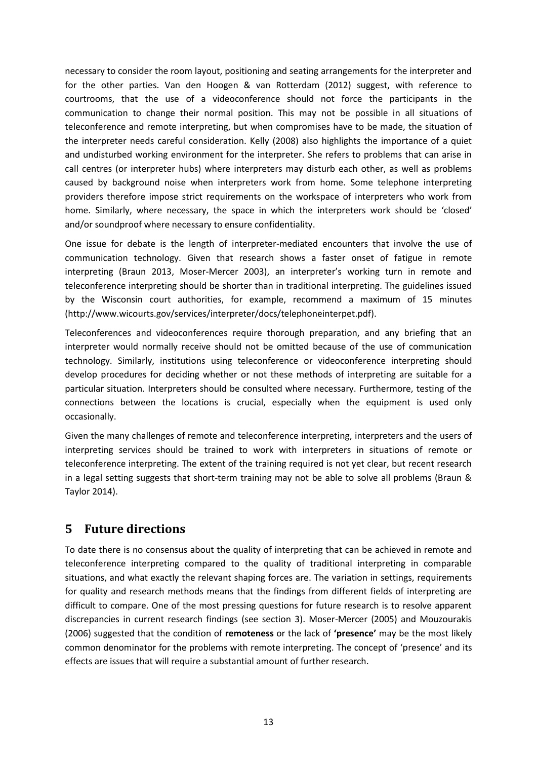necessary to consider the room layout, positioning and seating arrangements for the interpreter and for the other parties. Van den Hoogen & van Rotterdam (2012) suggest, with reference to courtrooms, that the use of a videoconference should not force the participants in the communication to change their normal position. This may not be possible in all situations of teleconference and remote interpreting, but when compromises have to be made, the situation of the interpreter needs careful consideration. Kelly (2008) also highlights the importance of a quiet and undisturbed working environment for the interpreter. She refers to problems that can arise in call centres (or interpreter hubs) where interpreters may disturb each other, as well as problems caused by background noise when interpreters work from home. Some telephone interpreting providers therefore impose strict requirements on the workspace of interpreters who work from home. Similarly, where necessary, the space in which the interpreters work should be 'closed' and/or soundproof where necessary to ensure confidentiality.

One issue for debate is the length of interpreter-mediated encounters that involve the use of communication technology. Given that research shows a faster onset of fatigue in remote interpreting (Braun 2013, Moser-Mercer 2003), an interpreter's working turn in remote and teleconference interpreting should be shorter than in traditional interpreting. The guidelines issued by the Wisconsin court authorities, for example, recommend a maximum of 15 minutes (http://www.wicourts.gov/services/interpreter/docs/telephoneinterpet.pdf).

Teleconferences and videoconferences require thorough preparation, and any briefing that an interpreter would normally receive should not be omitted because of the use of communication technology. Similarly, institutions using teleconference or videoconference interpreting should develop procedures for deciding whether or not these methods of interpreting are suitable for a particular situation. Interpreters should be consulted where necessary. Furthermore, testing of the connections between the locations is crucial, especially when the equipment is used only occasionally.

Given the many challenges of remote and teleconference interpreting, interpreters and the users of interpreting services should be trained to work with interpreters in situations of remote or teleconference interpreting. The extent of the training required is not yet clear, but recent research in a legal setting suggests that short-term training may not be able to solve all problems (Braun & Taylor 2014).

## **5 Future directions**

To date there is no consensus about the quality of interpreting that can be achieved in remote and teleconference interpreting compared to the quality of traditional interpreting in comparable situations, and what exactly the relevant shaping forces are. The variation in settings, requirements for quality and research methods means that the findings from different fields of interpreting are difficult to compare. One of the most pressing questions for future research is to resolve apparent discrepancies in current research findings (see section 3). Moser-Mercer (2005) and Mouzourakis (2006) suggested that the condition of **remoteness** or the lack of **'presence'** may be the most likely common denominator for the problems with remote interpreting. The concept of 'presence' and its effects are issues that will require a substantial amount of further research.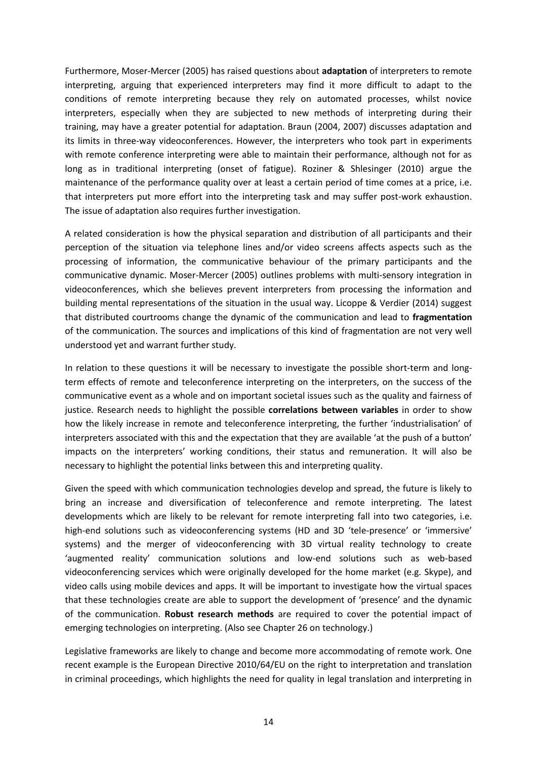Furthermore, Moser-Mercer (2005) has raised questions about **adaptation** of interpreters to remote interpreting, arguing that experienced interpreters may find it more difficult to adapt to the conditions of remote interpreting because they rely on automated processes, whilst novice interpreters, especially when they are subjected to new methods of interpreting during their training, may have a greater potential for adaptation. Braun (2004, 2007) discusses adaptation and its limits in three-way videoconferences. However, the interpreters who took part in experiments with remote conference interpreting were able to maintain their performance, although not for as long as in traditional interpreting (onset of fatigue). Roziner & Shlesinger (2010) argue the maintenance of the performance quality over at least a certain period of time comes at a price, i.e. that interpreters put more effort into the interpreting task and may suffer post-work exhaustion. The issue of adaptation also requires further investigation.

A related consideration is how the physical separation and distribution of all participants and their perception of the situation via telephone lines and/or video screens affects aspects such as the processing of information, the communicative behaviour of the primary participants and the communicative dynamic. Moser-Mercer (2005) outlines problems with multi-sensory integration in videoconferences, which she believes prevent interpreters from processing the information and building mental representations of the situation in the usual way. Licoppe & Verdier (2014) suggest that distributed courtrooms change the dynamic of the communication and lead to **fragmentation** of the communication. The sources and implications of this kind of fragmentation are not very well understood yet and warrant further study.

In relation to these questions it will be necessary to investigate the possible short-term and longterm effects of remote and teleconference interpreting on the interpreters, on the success of the communicative event as a whole and on important societal issues such as the quality and fairness of justice. Research needs to highlight the possible **correlations between variables** in order to show how the likely increase in remote and teleconference interpreting, the further 'industrialisation' of interpreters associated with this and the expectation that they are available 'at the push of a button' impacts on the interpreters' working conditions, their status and remuneration. It will also be necessary to highlight the potential links between this and interpreting quality.

Given the speed with which communication technologies develop and spread, the future is likely to bring an increase and diversification of teleconference and remote interpreting. The latest developments which are likely to be relevant for remote interpreting fall into two categories, i.e. high-end solutions such as videoconferencing systems (HD and 3D 'tele-presence' or 'immersive' systems) and the merger of videoconferencing with 3D virtual reality technology to create 'augmented reality' communication solutions and low-end solutions such as web-based videoconferencing services which were originally developed for the home market (e.g. Skype), and video calls using mobile devices and apps. It will be important to investigate how the virtual spaces that these technologies create are able to support the development of 'presence' and the dynamic of the communication. **Robust research methods** are required to cover the potential impact of emerging technologies on interpreting. (Also see Chapter 26 on technology.)

Legislative frameworks are likely to change and become more accommodating of remote work. One recent example is the European Directive 2010/64/EU on the right to interpretation and translation in criminal proceedings, which highlights the need for quality in legal translation and interpreting in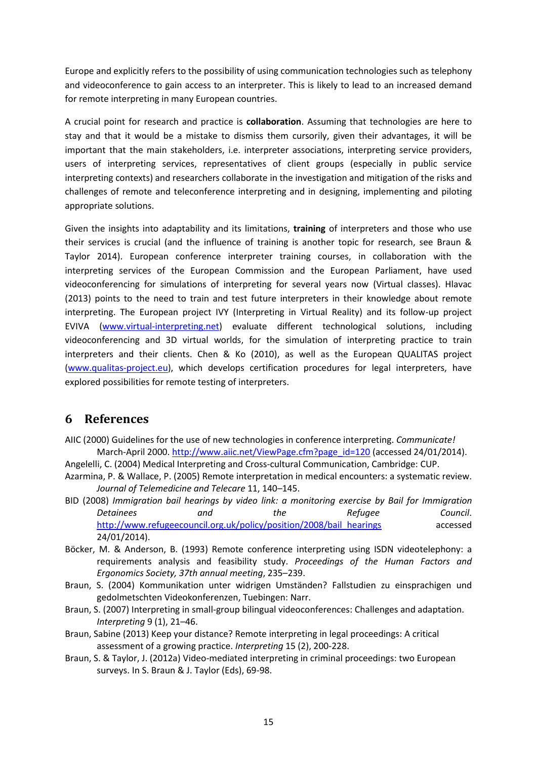Europe and explicitly refers to the possibility of using communication technologies such as telephony and videoconference to gain access to an interpreter. This is likely to lead to an increased demand for remote interpreting in many European countries.

A crucial point for research and practice is **collaboration**. Assuming that technologies are here to stay and that it would be a mistake to dismiss them cursorily, given their advantages, it will be important that the main stakeholders, i.e. interpreter associations, interpreting service providers, users of interpreting services, representatives of client groups (especially in public service interpreting contexts) and researchers collaborate in the investigation and mitigation of the risks and challenges of remote and teleconference interpreting and in designing, implementing and piloting appropriate solutions.

Given the insights into adaptability and its limitations, **training** of interpreters and those who use their services is crucial (and the influence of training is another topic for research, see Braun & Taylor 2014). European conference interpreter training courses, in collaboration with the interpreting services of the European Commission and the European Parliament, have used videoconferencing for simulations of interpreting for several years now (Virtual classes). Hlavac (2013) points to the need to train and test future interpreters in their knowledge about remote interpreting. The European project IVY (Interpreting in Virtual Reality) and its follow-up project EVIVA [\(www.virtual-interpreting.net\)](http://www.virtual-interpreting.net/) evaluate different technological solutions, including videoconferencing and 3D virtual worlds, for the simulation of interpreting practice to train interpreters and their clients. Chen & Ko (2010), as well as the European QUALITAS project [\(www.qualitas-project.eu\)](http://www.qualitas-project.eu/), which develops certification procedures for legal interpreters, have explored possibilities for remote testing of interpreters.

## **6 References**

- AIIC (2000) Guidelines for the use of new technologies in conference interpreting. *Communicate!* March-April 2000. [http://www.aiic.net/ViewPage.cfm?page\\_id=120](http://www.aiic.net/ViewPage.cfm?page_id=120) (accessed 24/01/2014).
- Angelelli, C. (2004) Medical Interpreting and Cross-cultural Communication, Cambridge: CUP.
- Azarmina, P. & Wallace, P. (2005) Remote interpretation in medical encounters: a systematic review. *Journal of Telemedicine and Telecare* 11, 140–145.
- BID (2008) *Immigration bail hearings by video link: a monitoring exercise by Bail for Immigration Detainees and the Refugee Council*. [http://www.refugeecouncil.org.uk/policy/position/2008/bail\\_hearings](http://www.refugeecouncil.org.uk/policy/position/2008/bail_hearings) accessed 24/01/2014).
- Böcker, M. & Anderson, B. (1993) Remote conference interpreting using ISDN videotelephony: a requirements analysis and feasibility study. *Proceedings of the Human Factors and Ergonomics Society, 37th annual meeting*, 235–239.
- Braun, S. (2004) Kommunikation unter widrigen Umständen? Fallstudien zu einsprachigen und gedolmetschten Videokonferenzen, Tuebingen: Narr.
- Braun, S. (2007) Interpreting in small-group bilingual videoconferences: Challenges and adaptation. *Interpreting* 9 (1), 21–46.
- Braun, Sabine (2013) Keep your distance? Remote interpreting in legal proceedings: A critical assessment of a growing practice. *Interpreting* 15 (2), 200-228.
- Braun, S. & Taylor, J. (2012a) Video-mediated interpreting in criminal proceedings: two European surveys. In S. Braun & J. Taylor (Eds), 69-98.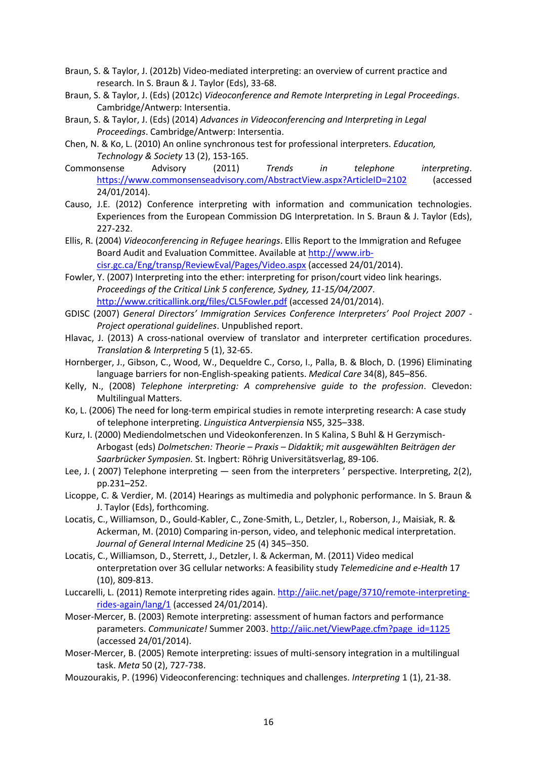- Braun, S. & Taylor, J. (2012b) Video-mediated interpreting: an overview of current practice and research. In S. Braun & J. Taylor (Eds), 33-68.
- Braun, S. & Taylor, J. (Eds) (2012c) *Videoconference and Remote Interpreting in Legal Proceedings*. Cambridge/Antwerp: Intersentia.
- Braun, S. & Taylor, J. (Eds) (2014) *Advances in Videoconferencing and Interpreting in Legal Proceedings*. Cambridge/Antwerp: Intersentia.
- Chen, N. & Ko, L. (2010) An online synchronous test for professional interpreters. *Education, Technology & Society* 13 (2), 153-165.
- Commonsense Advisory (2011) *Trends in telephone interpreting*. <https://www.commonsenseadvisory.com/AbstractView.aspx?ArticleID=2102> (accessed 24/01/2014).
- Causo, J.E. (2012) Conference interpreting with information and communication technologies. Experiences from the European Commission DG Interpretation. In S. Braun & J. Taylor (Eds), 227-232.
- Ellis, R. (2004) *Videoconferencing in Refugee hearings*. Ellis Report to the Immigration and Refugee Board Audit and Evaluation Committee. Available at [http://www.irb](http://www.irb-cisr.gc.ca/Eng/transp/ReviewEval/Pages/Video.aspx)[cisr.gc.ca/Eng/transp/ReviewEval/Pages/Video.aspx](http://www.irb-cisr.gc.ca/Eng/transp/ReviewEval/Pages/Video.aspx) (accessed 24/01/2014).
- Fowler, Y. (2007) Interpreting into the ether: interpreting for prison/court video link hearings. *Proceedings of the Critical Link 5 conference, Sydney, 11-15/04/2007*. <http://www.criticallink.org/files/CL5Fowler.pdf> (accessed 24/01/2014).
- GDISC (2007) *General Directors' Immigration Services Conference Interpreters' Pool Project 2007 - Project operational guidelines*. Unpublished report.
- Hlavac, J. (2013) A cross-national overview of translator and interpreter certification procedures. *Translation & Interpreting* 5 (1), 32-65.
- Hornberger, J., Gibson, C., Wood, W., Dequeldre C., Corso, I., Palla, B. & Bloch, D. (1996) Eliminating language barriers for non-English-speaking patients. *Medical Care* 34(8), 845–856.
- Kelly, N., (2008) *Telephone interpreting: A comprehensive guide to the profession*. Clevedon: Multilingual Matters.
- Ko, L. (2006) The need for long-term empirical studies in remote interpreting research: A case study of telephone interpreting. *Linguistica Antverpiensia* NS5, 325–338.
- Kurz, I. (2000) Mediendolmetschen und Videokonferenzen. In S Kalina, S Buhl & H Gerzymisch-Arbogast (eds) *Dolmetschen: Theorie – Praxis – Didaktik; mit ausgewählten Beiträgen der Saarbrücker Symposien.* St. Ingbert: Röhrig Universitätsverlag, 89-106.
- Lee, J. ( 2007) Telephone interpreting seen from the interpreters ' perspective. Interpreting, 2(2), pp.231–252.
- Licoppe, C. & Verdier, M. (2014) Hearings as multimedia and polyphonic performance. In S. Braun & J. Taylor (Eds), forthcoming.
- Locatis, C., Williamson, D., Gould-Kabler, C., Zone-Smith, L., Detzler, I., Roberson, J., Maisiak, R. & Ackerman, M. (2010) Comparing in-person, video, and telephonic medical interpretation. *Journal of General Internal Medicine* 25 (4) 345–350.
- Locatis, C., Williamson, D., Sterrett, J., Detzler, I. & Ackerman, M. (2011) Video medical onterpretation over 3G cellular networks: A feasibility study *Telemedicine and e-Health* 17 (10), 809-813.
- Luccarelli, L. (2011) Remote interpreting rides again. [http://aiic.net/page/3710/remote-interpreting](http://aiic.net/page/3710/remote-interpreting-rides-again/lang/1)[rides-again/lang/1](http://aiic.net/page/3710/remote-interpreting-rides-again/lang/1) (accessed 24/01/2014).
- Moser-Mercer, B. (2003) Remote interpreting: assessment of human factors and performance parameters. *Communicate!* Summer 2003. [http://aiic.net/ViewPage.cfm?page\\_id=1125](http://aiic.net/ViewPage.cfm?page_id=1125) (accessed 24/01/2014).
- Moser-Mercer, B. (2005) Remote interpreting: issues of multi-sensory integration in a multilingual task. *Meta* 50 (2), 727-738.
- Mouzourakis, P. (1996) Videoconferencing: techniques and challenges. *Interpreting* 1 (1), 21-38.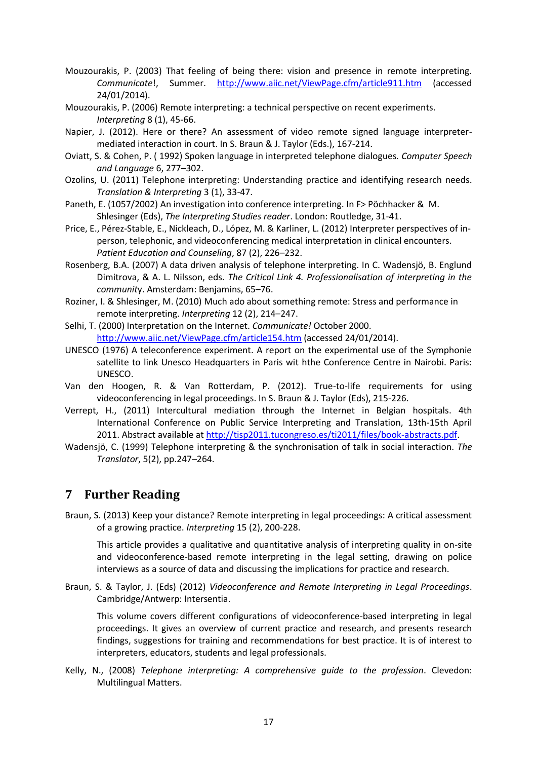- Mouzourakis, P. (2003) That feeling of being there: vision and presence in remote interpreting. *Communicate*!, Summer. <http://www.aiic.net/ViewPage.cfm/article911.htm> (accessed 24/01/2014).
- Mouzourakis, P. (2006) Remote interpreting: a technical perspective on recent experiments. *Interpreting* 8 (1), 45-66.
- Napier, J. (2012). Here or there? An assessment of video remote signed language interpretermediated interaction in court. In S. Braun & J. Taylor (Eds.), 167-214.
- Oviatt, S. & Cohen, P. ( 1992) Spoken language in interpreted telephone dialogues*. Computer Speech and Language* 6, 277–302.
- Ozolins, U. (2011) Telephone interpreting: Understanding practice and identifying research needs. *Translation & Interpreting* 3 (1), 33-47.
- Paneth, E. (1057/2002) An investigation into conference interpreting. In F> Pöchhacker & M. Shlesinger (Eds), *The Interpreting Studies reader*. London: Routledge, 31-41.
- Price, E., Pérez-Stable, E., Nickleach, D., López, M. & Karliner, L. (2012) Interpreter perspectives of inperson, telephonic, and videoconferencing medical interpretation in clinical encounters. *Patient Education and Counseling*, 87 (2), 226–232.
- Rosenberg, B.A. (2007) A data driven analysis of telephone interpreting. In C. Wadensjö, B. Englund Dimitrova, & A. L. Nilsson, eds. *The Critical Link 4. Professionalisation of interpreting in the communit*y. Amsterdam: Benjamins, 65–76.
- Roziner, I. & Shlesinger, M. (2010) Much ado about something remote: Stress and performance in remote interpreting. *Interpreting* 12 (2), 214–247.
- Selhi, T. (2000) Interpretation on the Internet. *Communicate!* October 2000. <http://www.aiic.net/ViewPage.cfm/article154.htm> (accessed 24/01/2014).
- UNESCO (1976) A teleconference experiment. A report on the experimental use of the Symphonie satellite to link Unesco Headquarters in Paris wit hthe Conference Centre in Nairobi. Paris: UNESCO.
- Van den Hoogen, R. & Van Rotterdam, P. (2012). True-to-life requirements for using videoconferencing in legal proceedings. In S. Braun & J. Taylor (Eds), 215-226.
- Verrept, H., (2011) Intercultural mediation through the Internet in Belgian hospitals. 4th International Conference on Public Service Interpreting and Translation, 13th-15th April 2011. Abstract available a[t http://tisp2011.tucongreso.es/ti2011/files/book-abstracts.pdf.](http://tisp2011.tucongreso.es/ti2011/files/book-abstracts.pdf)
- Wadensjö, C. (1999) Telephone interpreting & the synchronisation of talk in social interaction. *The Translator*, 5(2), pp.247–264.

## **7 Further Reading**

Braun, S. (2013) Keep your distance? Remote interpreting in legal proceedings: A critical assessment of a growing practice. *Interpreting* 15 (2), 200-228.

This article provides a qualitative and quantitative analysis of interpreting quality in on-site and videoconference-based remote interpreting in the legal setting, drawing on police interviews as a source of data and discussing the implications for practice and research.

Braun, S. & Taylor, J. (Eds) (2012) *Videoconference and Remote Interpreting in Legal Proceedings*. Cambridge/Antwerp: Intersentia.

This volume covers different configurations of videoconference-based interpreting in legal proceedings. It gives an overview of current practice and research, and presents research findings, suggestions for training and recommendations for best practice. It is of interest to interpreters, educators, students and legal professionals.

Kelly, N., (2008) *Telephone interpreting: A comprehensive guide to the profession*. Clevedon: Multilingual Matters.